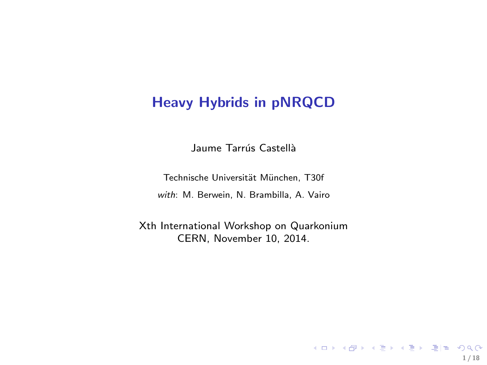## Heavy Hybrids in pNRQCD

Jaume Tarrús Castellà

Technische Universität München, T30f with: M. Berwein, N. Brambilla, A. Vairo

Xth International Workshop on Quarkonium CERN, November 10, 2014.

1 / 18

K ロ ▶ K @ ▶ K 글 ▶ K 글 ▶ \_글(님) ⊙Q Q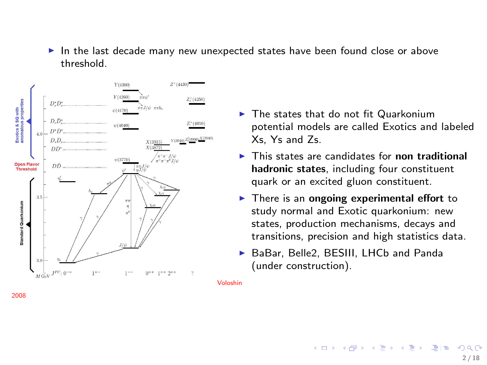► In the last decade many new unexpected states have been found close or above threshold.



- $\blacktriangleright$  The states that do not fit Quarkonium potential models are called Exotics and labeled Xs, Ys and Zs.
- $\triangleright$  This states are candidates for non traditional hadronic states, including four constituent quark or an excited gluon constituent.
- $\blacktriangleright$  There is an ongoing experimental effort to study normal and Exotic quarkonium: new states, production mechanisms, decays and transitions, precision and high statistics data.
- ▶ BaBar, Belle2, BESIII, LHCb and Panda (under construction).

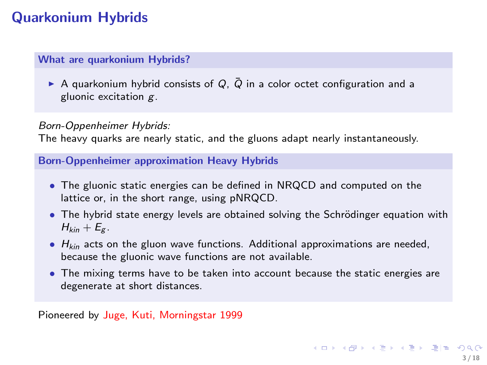# Quarkonium Hybrids

#### What are quarkonium Hybrids?

A quarkonium hybrid consists of  $Q$ ,  $\overline{Q}$  in a color octet configuration and a gluonic excitation g.

#### Born-Oppenheimer Hybrids:

The heavy quarks are nearly static, and the gluons adapt nearly instantaneously.

Born-Oppenheimer approximation Heavy Hybrids

- The gluonic static energies can be defined in NRQCD and computed on the lattice or, in the short range, using pNRQCD.
- The hybrid state energy levels are obtained solving the Schrödinger equation with  $H_{kin} + E_g$ .
- $\bullet$   $H_{kin}$  acts on the gluon wave functions. Additional approximations are needed, because the gluonic wave functions are not available.
- The mixing terms have to be taken into account because the static energies are degenerate at short distances.

Pioneered by Juge, Kuti, Morningstar 1999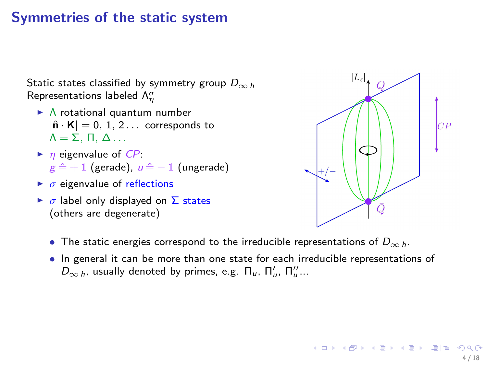### Symmetries of the static system

Static states classified by symmetry group  $D_{\infty h}$ Representations labeled  $\Lambda_{\eta}^{\sigma}$ 

- ◮ Λ rotational quantum number  $|\hat{\mathsf{n}} \cdot \mathsf{K}| = 0, 1, 2...$  corresponds to  $Λ = Σ$ , Π, Δ...
- $\blacktriangleright$   $\eta$  eigenvalue of  $CP$ :  $g \hat{=} + 1$  (gerade),  $u \hat{=} - 1$  (ungerade)
- $\triangleright$   $\sigma$  eigenvalue of reflections
- $\triangleright$   $\sigma$  label only displayed on  $\Sigma$  states (others are degenerate)



K ロ ▶ K @ ▶ K 경 ▶ K 경 ▶ (경)

- The static energies correspond to the irreducible representations of  $D_{\infty h}$ .
- In general it can be more than one state for each irreducible representations of  $D_{\infty h}$ , usually denoted by primes, e.g.  $\Pi_u$ ,  $\Pi'_u$ ,  $\Pi''_u$ ...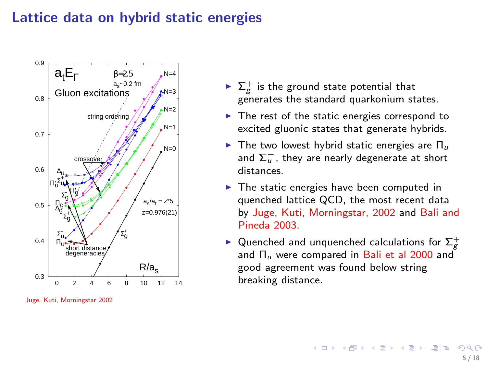### Lattice data on hybrid static energies



Juge, Kuti, Morningstar 2002

- $\blacktriangleright$   $\Sigma_g^+$  is the ground state potential that generates the standard quarkonium states.
- ▶ The rest of the static energies correspond to excited gluonic states that generate hybrids.
- $\blacktriangleright$  The two lowest hybrid static energies are  $\Pi_u$ and  $\sum_{u}^{-}$ , they are nearly degenerate at short distances.
- ▶ The static energies have been computed in quenched lattice QCD, the most recent data by Juge, Kuti, Morningstar, 2002 and Bali and Pineda 2003.
- ► Quenched and unquenched calculations for  $\Sigma_g^+$ and  $\Pi_{\mu}$  were compared in Bali et al 2000 and good agreement was found below string breaking distance.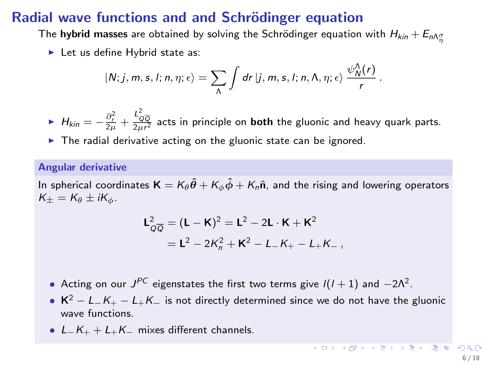### Radial wave functions and and Schrödinger equation

The **hybrid masses** are obtained by solving the Schrödinger equation with  $H_{kin}+E_{n\Lambda\gamma\over\eta}$ 

► Let us define Hybrid state as:

$$
|N;j,m,s,l;n,\eta;\epsilon\rangle=\sum_{\Lambda}\int dr\,|j,m,s,l;n,\Lambda,\eta;\epsilon\rangle\,\frac{\psi^{\Lambda}_{N}(r)}{r}\,.
$$

►  $H_{kin} = -\frac{\partial_r^2}{2\mu} + \frac{L_{Q\overline{Q}}^2}{2\mu r^2}$  acts in principle on **both** the gluonic and heavy quark parts.

 $\blacktriangleright$  The radial derivative acting on the gluonic state can be ignored.

#### Angular derivative

In spherical coordinates  $\mathbf{K} = K_{\theta} \hat{\theta} + K_{\phi} \hat{\phi} + K_n \hat{\mathbf{n}}$ , and the rising and lowering operators  $K_{\pm}=K_{\theta}\pm iK_{\phi}$ .

$$
\mathsf{L}_{Q\overline{Q}}^2 = (\mathsf{L} - \mathsf{K})^2 = \mathsf{L}^2 - 2\mathsf{L} \cdot \mathsf{K} + \mathsf{K}^2
$$

$$
= \mathsf{L}^2 - 2K_n^2 + \mathsf{K}^2 - L_n - K_n - L_n + K_n,
$$

- Acting on our  $J^{PC}$  eigenstates the first two terms give  $I(I + 1)$  and  $-2\Lambda^2$ .
- $K^2 L_-K_+ L_+K_-$  is not directly determined since we do not have the gluonic wave functions.
- $L_K + L_K$  mixes different channels.

KO KARKA ER A ER ETER DA G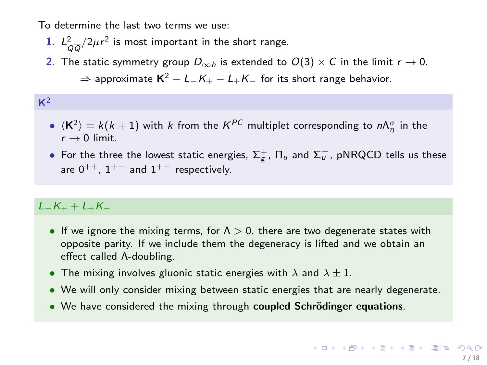To determine the last two terms we use:

- 1.  $L^2_{Q\overline{Q}}/2\mu r^2$  is most important in the short range.
- 2. The static symmetry group  $D_{\infty h}$  is extended to  $O(3) \times C$  in the limit  $r \to 0$ .  $\Rightarrow$  approximate K<sup>2</sup> − L<sub>−</sub>K<sub>+</sub> − L<sub>+</sub>K<sub>−</sub> for its short range behavior.

#### $\bullet$   $\langle \mathsf{K}^2 \rangle = k(k+1)$  with  $k$  from the  $\mathsf{K}^{PC}$  multiplet corresponding to  $n\Lambda_\eta^\sigma$  in the  $r \rightarrow 0$  limit.

 $\bullet$  For the three the lowest static energies,  $\Sigma_g^+$ , Π<sub>u</sub> and  $\Sigma_u^-$ , pNRQCD tells us these are  $0^{++}$ ,  $1^{+-}$  and  $1^{+-}$  respectively.

### $L$ <sub>−</sub> $K$ <sub>+</sub> +  $L$ <sub>+</sub> $K$ <sub>−</sub>

 $K^2$ 

- If we ignore the mixing terms, for  $\Lambda > 0$ , there are two degenerate states with opposite parity. If we include them the degeneracy is lifted and we obtain an effect called Λ-doubling.
- The mixing involves gluonic static energies with  $\lambda$  and  $\lambda \pm 1$ .
- We will only consider mixing between static energies that are nearly degenerate.
- We have considered the mixing through coupled Schrödinger equations.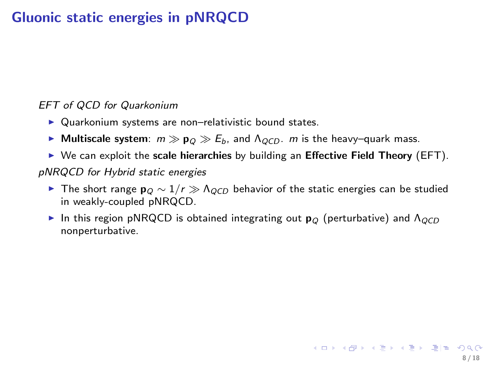# Gluonic static energies in pNRQCD

#### EFT of QCD for Quarkonium

- ▶ Quarkonium systems are non-relativistic bound states.
- ► Multiscale system:  $m \gg p_Q \gg E_b$ , and  $\Lambda_{QCD}$ . m is the heavy–quark mass.
- $\triangleright$  We can exploit the scale hierarchies by building an Effective Field Theory (EFT).

#### pNRQCD for Hybrid static energies

- ► The short range  $\mathbf{p}_Q \sim 1/r \gg \Lambda_{QCD}$  behavior of the static energies can be studied in weakly-coupled pNRQCD.
- In this region pNRQCD is obtained integrating out  $\mathbf{p}_{Q}$  (perturbative) and  $\Lambda_{QCD}$ nonperturbative.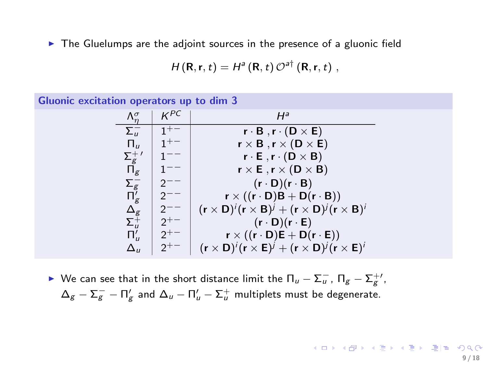▶ The Gluelumps are the adjoint sources in the presence of a gluonic field

$$
H(\mathbf{R},\mathbf{r},t)=H^{a}(\mathbf{R},t)\,\mathcal{O}^{a\dagger}\left(\mathbf{R},\mathbf{r},t\right),
$$

| Gluonic excitation operators up to dim 3 |                                   |          |                                                                                                                                         |  |  |  |  |
|------------------------------------------|-----------------------------------|----------|-----------------------------------------------------------------------------------------------------------------------------------------|--|--|--|--|
|                                          | $\Lambda_n^{\sigma}$              | $K^{PC}$ | $H^a$                                                                                                                                   |  |  |  |  |
|                                          | $\Sigma_u^-$                      | $1+-$    | $\mathbf{r} \cdot \mathbf{B}$ , $\mathbf{r} \cdot (\mathbf{D} \times \mathbf{E})$                                                       |  |  |  |  |
|                                          | $\Pi_{\mu}$                       | $1+-$    | $r \times B$ , $r \times (D \times E)$                                                                                                  |  |  |  |  |
|                                          |                                   |          | $\mathbf{r} \cdot \mathbf{E}$ , $\mathbf{r} \cdot (\mathbf{D} \times \mathbf{B})$                                                       |  |  |  |  |
|                                          | $\stackrel{\Sigma_g^+{}'}{\Pi_g}$ | $- -$    | $r \times E$ , $r \times (D \times B)$                                                                                                  |  |  |  |  |
|                                          |                                   |          | $(r \cdot D)(r \cdot B)$                                                                                                                |  |  |  |  |
|                                          | $\Sigma_g^-$<br>$\Pi'_g$          |          | $\mathbf{r} \times ((\mathbf{r} \cdot \mathbf{D})\mathbf{B} + \mathbf{D}(\mathbf{r} \cdot \mathbf{B}))$                                 |  |  |  |  |
|                                          |                                   |          | $(\mathbf{r} \times \mathbf{D})^i (\mathbf{r} \times \mathbf{B})^j + (\mathbf{r} \times \mathbf{D})^j (\mathbf{r} \times \mathbf{B})^i$ |  |  |  |  |
|                                          | $\frac{\Delta_g}{\Sigma_u^+}$     | $2^{+-}$ | $(r \cdot D)(r \cdot E)$                                                                                                                |  |  |  |  |
|                                          |                                   | $2^{+-}$ | $r \times ((r \cdot D)E + D(r \cdot E))$                                                                                                |  |  |  |  |
|                                          | $\Delta_{\rm II}$                 |          | $(\mathbf{r} \times \mathbf{D})^i (\mathbf{r} \times \mathbf{E})^j + (\mathbf{r} \times \mathbf{D})^j (\mathbf{r} \times \mathbf{E})^i$ |  |  |  |  |

► We can see that in the short distance limit the  $\Pi_u - \Sigma_u^-$ ,  $\Pi_g - \Sigma_g^{+\prime}$ ,  $\Delta_g - \Sigma_g^- - \Pi_g'$  and  $\Delta_u - \Pi_u' - \Sigma_u^+$  multiplets must be degenerate.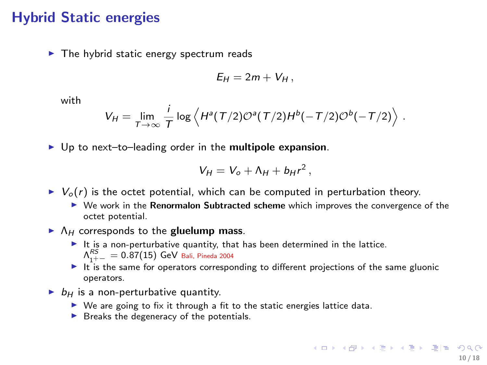### Hybrid Static energies

 $\blacktriangleright$  The hybrid static energy spectrum reads

$$
E_H=2m+V_H,
$$

with

$$
V_H = \lim_{T \to \infty} \frac{i}{T} \log \left\langle H^a(T/2) \mathcal{O}^a(T/2) H^b(-T/2) \mathcal{O}^b(-T/2) \right\rangle.
$$

 $\triangleright$  Up to next-to-leading order in the multipole expansion.

$$
V_H = V_o + \Lambda_H + b_H r^2,
$$

- $\triangleright \; V_o(r)$  is the octet potential, which can be computed in perturbation theory.
	- $\triangleright$  We work in the Renormalon Subtracted scheme which improves the convergence of the octet potential.
- $\blacktriangleright$   $\Lambda$ <sub>H</sub> corresponds to the gluelump mass.
	- $\blacktriangleright$  It is a non-perturbative quantity, that has been determined in the lattice.  $\Lambda^{RS}_{1^+ - } = 0.87(15)$  GeV Bali, Pineda 2004
	- $\triangleright$  It is the same for operators corresponding to different projections of the same gluonic operators.
- $\triangleright$   $b_{\text{H}}$  is a non-perturbative quantity.
	- $\triangleright$  We are going to fix it through a fit to the static energies lattice data.
	- $\triangleright$  Breaks the degeneracy of the potentials.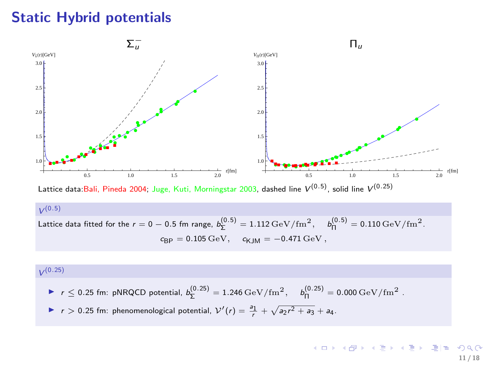# Static Hybrid potentials



 $V^{(0.5)}$ 

Lattice data fitted for the 
$$
r = 0 - 0.5
$$
 fm range,  $b_{\Sigma}^{(0.5)} = 1.112 \,\text{GeV} / \text{fm}^2$ ,  $b_{\Pi}^{(0.5)} = 0.110 \,\text{GeV} / \text{fm}^2$ .  
\n $c_{\text{BP}} = 0.105 \,\text{GeV}$ ,  $c_{\text{KJM}} = -0.471 \,\text{GeV}$ ,

#### $V^{(0.25)}$

- ►  $r \le 0.25$  fm: pNRQCD potential,  $b_{\Sigma}^{(0.25)} = 1.246 \,\text{GeV}/\text{fm}^2$ ,  $b_{\Pi}^{(0.25)} = 0.000 \,\text{GeV}/\text{fm}^2$ .
- ▶ r > 0.25 fm: phenomenological potential,  $V'(r) = \frac{a_1}{r} + \sqrt{a_2r^2 + a_3} + a_4$ .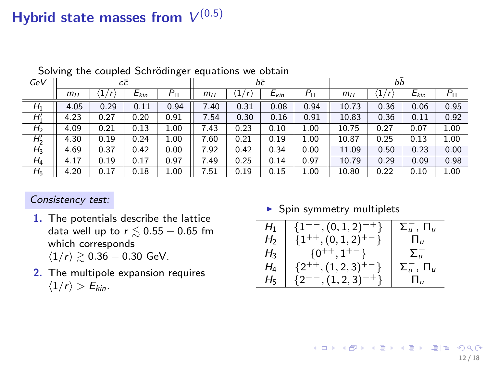# Hybrid state masses from  $V^{(0.5)}$

| GeV            | сē    |      |           | bē        |                |         |           | bb        |       |      |           |           |
|----------------|-------|------|-----------|-----------|----------------|---------|-----------|-----------|-------|------|-----------|-----------|
|                | $m_H$ | ı    | $E_{kin}$ | $P_{\Pi}$ | $m_H$          | 1,<br>r | $E_{kin}$ | $P_{\Pi}$ | $m_H$ | T    | $E_{kin}$ | $P_{\Pi}$ |
| H <sub>1</sub> | 4.05  | 0.29 | 0.11      | 0.94      | 7.40           | 0.31    | 0.08      | 0.94      | 10.73 | 0.36 | 0.06      | 0.95      |
| H'             | 4.23  | 0.27 | 0.20      | 0.91      | 7.54           | 0.30    | 0.16      | 0.91      | 10.83 | 0.36 | 0.11      | 0.92      |
| H <sub>2</sub> | 4.09  | 0.21 | 0.13      | 1.00      | 7.43           | 0.23    | 0.10      | 1.00      | 10.75 | 0.27 | 0.07      | 1.00      |
| $H'_2$         | 4.30  | 0.19 | 0.24      | 1.00      | $^{\prime}.60$ | 0.21    | 0.19      | 1.00      | 10.87 | 0.25 | 0.13      | 1.00      |
| $H_3$          | 4.69  | 0.37 | 0.42      | 0.00      | .92            | 0.42    | 0.34      | 0.00      | 11.09 | 0.50 | 0.23      | 0.00      |
| $H_4$          | 4.17  | 0.19 | 0.17      | 0.97      | .49            | 0.25    | 0.14      | 0.97      | 10.79 | 0.29 | 0.09      | 0.98      |
| $H_5$          | 4.20  | 0.17 | 0.18      | 1.00      | '.51           | 0.19    | 0.15      | 1.00      | 10.80 | 0.22 | 0.10      | 1.00      |

Solving the coupled Schrödinger equations we obtain

#### Consistency test:

- 1. The potentials describe the lattice data well up to  $r \lesssim 0.55 - 0.65$  fm which corresponds  $\langle 1/r \rangle \gtrsim 0.36 - 0.30$  GeV.
- 2. The multipole expansion requires  $\langle 1/r \rangle > E_{kin}$ .

 $\blacktriangleright$  Spin symmetry multiplets

| $H_1$          | $^{-},(0,1,2)^{-+}\}$   | $\Sigma_{\mu}^-$ , $\Pi_{\mu}$ |
|----------------|-------------------------|--------------------------------|
| H <sub>2</sub> | $\{1^{++}, (0,1,2)^+$   | П.,                            |
| $H_3$          | $\{0^{++}, 1^{+-}\}$    | $\Sigma_{\mu}$                 |
| $H_4$          | $\{2^{++}, (1,2,3)\}$   | $\Sigma_u^-$ , $\Pi_u$         |
| Hҕ             | $\{2^{--}, (1, 2, 3)\}$ |                                |

K ロ > K 何 > K 경 > K 경 > (경)는 K 9 Q O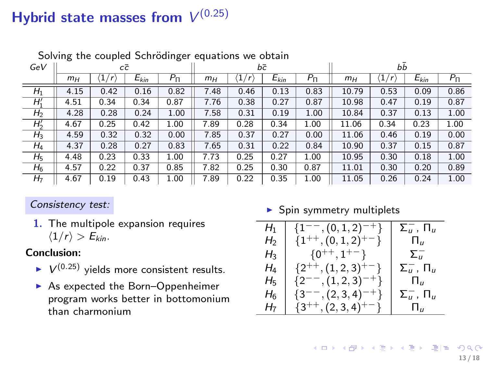# Hybrid state masses from  $V^{(0.25)}$

| solving the coupled sembanger equations we obtain |       |          |           |           |       |                           |           |           |       |                                     |           |           |
|---------------------------------------------------|-------|----------|-----------|-----------|-------|---------------------------|-----------|-----------|-------|-------------------------------------|-----------|-----------|
| GeV                                               | сē    |          |           | bē        |       |                           |           | bb        |       |                                     |           |           |
|                                                   | $m_H$ | 1<br>'n. | $E_{kin}$ | $P_{\Pi}$ | $m_H$ | 1,<br>$\langle r \rangle$ | $E_{kin}$ | $P_{\Pi}$ | $m_H$ | $\left  \frac{1}{2} \right $<br>'r' | $E_{kin}$ | $P_{\Pi}$ |
| $H_1$                                             | 4.15  | 0.42     | 0.16      | 0.82      | 7.48  | 0.46                      | 0.13      | 0.83      | 10.79 | 0.53                                | 0.09      | 0.86      |
| $\overline{H}'$                                   | 4.51  | 0.34     | 0.34      | 0.87      | 7.76  | 0.38                      | 0.27      | 0.87      | 10.98 | 0.47                                | 0.19      | 0.87      |
| H <sub>2</sub>                                    | 4.28  | 0.28     | 0.24      | 1.00      | 7.58  | 0.31                      | 0.19      | 1.00      | 10.84 | 0.37                                | 0.13      | 1.00      |
| $H'_2$                                            | 4.67  | 0.25     | 0.42      | 1.00      | 7.89  | 0.28                      | 0.34      | 1.00      | 11.06 | 0.34                                | 0.23      | 1.00      |
| $H_3$                                             | 4.59  | 0.32     | 0.32      | 0.00      | 7.85  | 0.37                      | 0.27      | 0.00      | 11.06 | 0.46                                | 0.19      | 0.00      |
| $H_4$                                             | 4.37  | 0.28     | 0.27      | 0.83      | 7.65  | 0.31                      | 0.22      | 0.84      | 10.90 | 0.37                                | 0.15      | 0.87      |
| H <sub>5</sub>                                    | 4.48  | 0.23     | 0.33      | 1.00      | 7.73  | 0.25                      | 0.27      | 1.00      | 10.95 | 0.30                                | 0.18      | 1.00      |
| $H_6$                                             | 4.57  | 0.22     | 0.37      | 0.85      | 7.82  | 0.25                      | 0.30      | 0.87      | 11.01 | 0.30                                | 0.20      | 0.89      |
| H <sub>7</sub>                                    | 4.67  | 0.19     | 0.43      | 1.00      | 7.89  | 0.22                      | 0.35      | 1.00      | 11.05 | 0.26                                | 0.24      | 1.00      |

÷,

Solving the coupled Schrödinger equations we obtain

#### Consistency test:

1. The multipole expansion requires  $\langle 1/r \rangle > E_{kin}$ .

#### Conclusion:

- $\blacktriangleright$   $V^{(0.25)}$  yields more consistent results.
- ▶ As expected the Born–Oppenheimer program works better in bottomonium than charmonium

 $\blacktriangleright$  Spin symmetry multiplets

| $H_1$          | $\{1^{--}, (0,1,2)^{-+}\}$   | $\Sigma_u^-$ , $\Pi_u$       |
|----------------|------------------------------|------------------------------|
| H <sub>2</sub> | $\{1^{++}, (0,1,2)^{+-}\}$   | Ш                            |
| $H_3$          | $\{0^{++}, 1^{+-}\}$         | $\Sigma_{\mu}^{-}$           |
| $H_4$          | $\{2^{++}, (1,2,3)^{+-}\}$   | $\Sigma_u^-$ , $\Pi_u$       |
| $H_{5}$        | $\{2^{--}, (1, 2, 3)^{-+}\}$ | П.,                          |
| H6             | $\{3^{--}, (2,3,4)^{-+}\}$   | $\Sigma_u^-$ , $\Pi_u$       |
| H7             | $\{3^{++}, (2,3,4)^{+-}\}$   | $\Pi_{\scriptscriptstyle H}$ |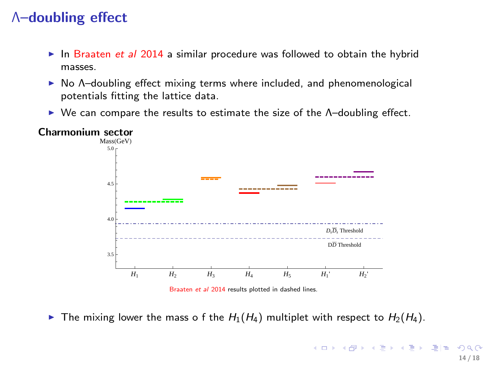# Λ–doubling effect

- In Braaten et al 2014 a similar procedure was followed to obtain the hybrid masses.
- $\triangleright$  No Λ-doubling effect mixing terms where included, and phenomenological potentials fitting the lattice data.
- $\triangleright$  We can compare the results to estimate the size of the  $\Lambda$ -doubling effect.



Charmonium sector

<span id="page-13-0"></span>Braaten et al 2014 results plotted in dashed lines.

The mixing lower the mass o f the  $H_1(H_4)$  multiplet with respect to  $H_2(H_4)$ .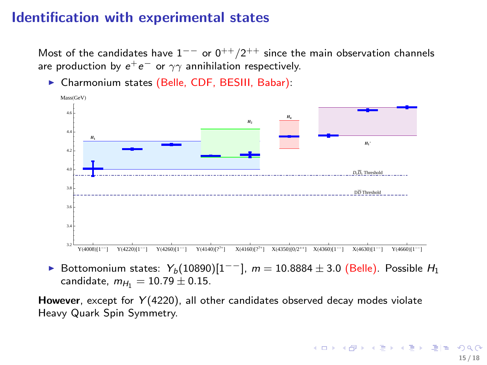### Identification with experimental states

Most of the candidates have  $1^{--}$  or  $0^{++}/2^{++}$  since the main observation channels are production by  $e^+e^-$  or  $\gamma\gamma$  annihilation respectively.

- *H***<sup>1</sup>** *H***<sup>4</sup>** *H*<sup>2</sup> *H***1'** D*D* Threshold *DsD<sup>s</sup>* Threshold  $Y(4008)$ [1<sup>--1</sup>]  $Y(4220)[1^{--}]$  $Y(4260)[1^{--}]$  $Y(4140)[??^+]$  $X(4160)[??^+]$  $X(4350)[0/2^{++}]$   $X(4360)[1$  $X(4630)[1^{--}]$  $^{-1}$  Y(4660)[1<sup>--</sup>] 3.2 3.4 3.6 3.8 4.0 4.2 4.4 4.6 Mass(GeV)
- ▶ Charmonium states (Belle, CDF, BESIII, Babar):

► Bottomonium states:  $Y_b(10890)[1^{--}]$ ,  $m = 10.8884 \pm 3.0$  (Belle). Possible  $H_1$ 

<span id="page-14-0"></span>candidate,  $m_{H_1} = 10.79 \pm 0.15$ .

However, except for  $Y(4220)$ , all other candidates observed decay modes violate Heavy Quark Spin Symmetry.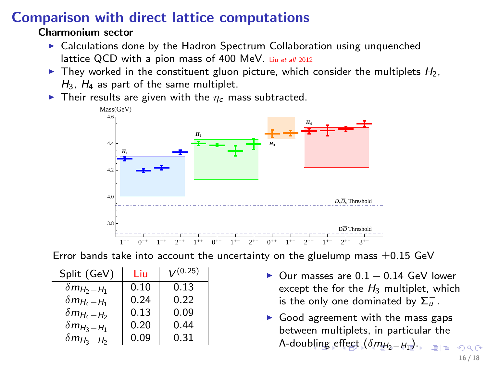# Comparison with direct lattice computations

#### Charmonium sector

- $\triangleright$  Calculations done by the Hadron Spectrum Collaboration using unquenched lattice QCD with a pion mass of 400 MeV. Liu et all 2012
- $\blacktriangleright$  They worked in the constituent gluon picture, which consider the multiplets  $H_2$ ,  $H_3$ ,  $H_4$  as part of the same multiplet.
- $\blacktriangleright$  Their results are given with the  $\eta_c$  mass subtracted.



Error bands take into account the uncertainty on the gluelump mass  $\pm 0.15$  GeV

| Split (GeV)          | Liu  | $V^{(0.25)}$ |
|----------------------|------|--------------|
| $\delta m_{H_2-H_1}$ | 0.10 | 0.13         |
| $\delta m_{H_4-H_1}$ | 0.24 | 0.22         |
| $\delta m_{H_4-H_2}$ | 0.13 | 0.09         |
| $\delta m_{H_3-H_1}$ | 0.20 | 0.44         |
| $\delta m_{H_3-H_2}$ | 0.09 | 0.31         |

- Our masses are  $0.1 0.14$  GeV lower except the for the  $H_3$  multiplet, which is the only one dominated by  $\overline{\Sigma}_u^-$ .
- <span id="page-15-0"></span> $\triangleright$  Good agreement with the mass gaps between multiplets, in particular the Λ-dou[blin](#page-14-0)[g e](#page-16-0)[ff](#page-14-0)[ect](#page-15-0)  $(\delta m_{H_2-H_1}$  $(\delta m_{H_2-H_1}$  $(\delta m_{H_2-H_1}$  $(\delta m_{H_2-H_1}$  $(\delta m_{H_2-H_1}$  $(\delta m_{H_2-H_1}$  $(\delta m_{H_2-H_1}$ [\).](#page-16-0)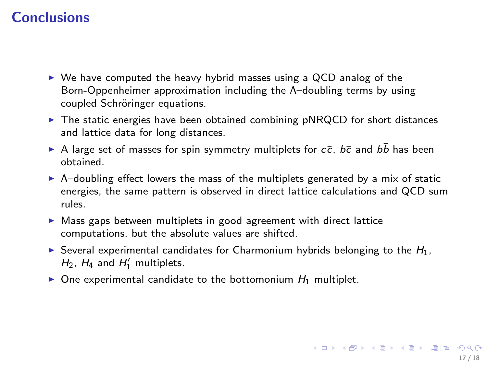# **Conclusions**

- $\triangleright$  We have computed the heavy hybrid masses using a QCD analog of the Born-Oppenheimer approximation including the Λ–doubling terms by using coupled Schröringer equations.
- $\triangleright$  The static energies have been obtained combining pNRQCD for short distances and lattice data for long distances.
- A large set of masses for spin symmetry multiplets for  $c\bar{c}$ ,  $b\bar{c}$  and  $b\bar{b}$  has been obtained.
- $\triangleright$  Λ-doubling effect lowers the mass of the multiplets generated by a mix of static energies, the same pattern is observed in direct lattice calculations and QCD sum rules.
- ▶ Mass gaps between multiplets in good agreement with direct lattice computations, but the absolute values are shifted.
- Several experimental candidates for Charmonium hybrids belonging to the  $H_1$ ,  $H_2$ ,  $H_4$  and  $H'_1$  multiplets.
- <span id="page-16-0"></span> $\triangleright$  One experimental candidate to the bottomonium  $H_1$  multiplet.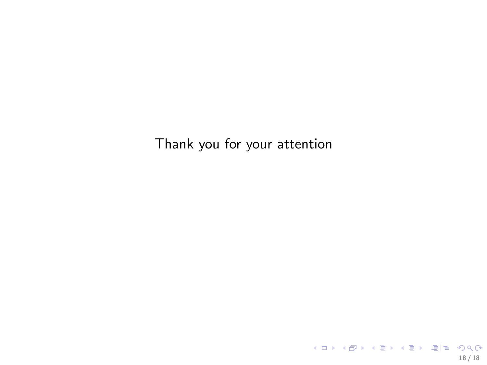Thank you for your attention

<span id="page-17-0"></span>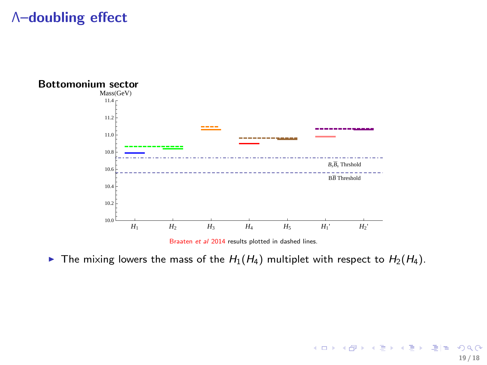# Λ–doubling effect



<span id="page-18-0"></span>Braaten et al 2014 results plotted in dashed lines.

The mixing lowers the mass of the  $H_1(H_4)$  multiplet with respect to  $H_2(H_4)$ .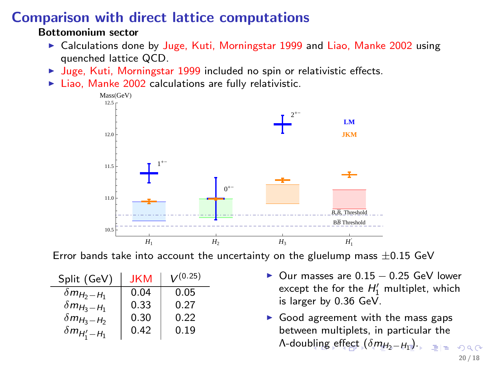# Comparison with direct lattice computations

#### Bottomonium sector

- ► Calculations done by Juge, Kuti, Morningstar 1999 and Liao, Manke 2002 using quenched lattice QCD.
- ▶ Juge, Kuti, Morningstar 1999 included no spin or relativistic effects.
- $\blacktriangleright$  Liao, Manke 2002 calculations are fully relativistic.



Error bands take into account the uncertainty on the gluelump mass  $\pm 0.15$  GeV

| Split (GeV)                 | JKM  | V(0.25) |
|-----------------------------|------|---------|
| $\delta m_{H_2-H_1}$        | 0.04 | 0.05    |
| $\delta m_{H_3-H_1}$        | 0.33 | 0.27    |
| $\delta m_{H_3-H_2}$        | 0.30 | 0.22    |
| $\delta m_{H^\prime_1-H_1}$ | 0.42 | 0.19    |

- Our masses are 0.15 0.25 GeV lower except the for the  $H'_1$  multiplet, which is larger by 0.36 GeV.
- <span id="page-19-0"></span> $\blacktriangleright$  Good agreement with the mass gaps between multiplets, in particular the Λ-dou[blin](#page-18-0)[g e](#page-20-0)[ff](#page-18-0)[ect](#page-19-0)  $(\delta m_{H_2-H_1}$  $(\delta m_{H_2-H_1}$  $(\delta m_{H_2-H_1}$  $(\delta m_{H_2-H_1}$  $(\delta m_{H_2-H_1}$  $(\delta m_{H_2-H_1}$  $(\delta m_{H_2-H_1}$ ).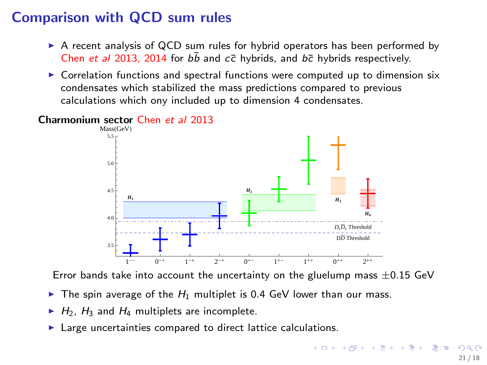# Comparison with QCD sum rules

- $\triangleright$  A recent analysis of QCD sum rules for hybrid operators has been performed by Chen et al 2013, 2014 for  $b\bar{b}$  and  $c\bar{c}$  hybrids, and  $b\bar{c}$  hybrids respectively.
- $\triangleright$  Correlation functions and spectral functions were computed up to dimension six condensates which stabilized the mass predictions compared to previous calculations which ony included up to dimension 4 condensates.



Charmonium sector Chen et al 2013

Error bands take into account the uncertainty on the gluelump mass  $\pm 0.15$  GeV

- $\triangleright$  The spin average of the  $H_1$  multiplet is 0.4 GeV lower than our mass.
- $H_2$ ,  $H_3$  and  $H_4$  multiplets are incomplete.
- <span id="page-20-0"></span>Large uncertainties compared to direct lattice calculations.